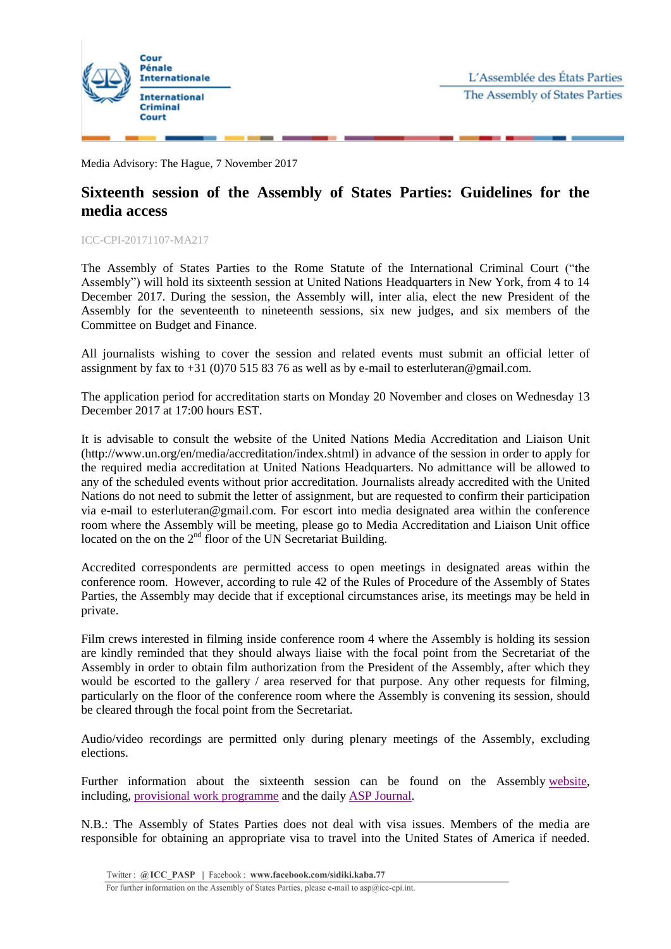

Media Advisory: The Hague, 7 November 2017

## **Sixteenth session of the Assembly of States Parties: Guidelines for the media access**

ICC-CPI-20171107-MA217

The Assembly of States Parties to the Rome Statute of the International Criminal Court ("the Assembly") will hold its sixteenth session at United Nations Headquarters in New York, from 4 to 14 December 2017. During the session, the Assembly will, inter alia, elect the new President of the Assembly for the seventeenth to nineteenth sessions, six new judges, and six members of the Committee on Budget and Finance.

All journalists wishing to cover the session and related events must submit an official letter of assignment by fax to  $+31$  (0)70 515 83 76 as well as by e-mail to esterluteran@gmail.com.

The application period for accreditation starts on Monday 20 November and closes on Wednesday 13 December 2017 at 17:00 hours EST.

It is advisable to consult the website of the United Nations Media Accreditation and Liaison Unit (http://www.un.org/en/media/accreditation/index.shtml) in advance of the session in order to apply for the required media accreditation at United Nations Headquarters. No admittance will be allowed to any of the scheduled events without prior accreditation. Journalists already accredited with the United Nations do not need to submit the letter of assignment, but are requested to confirm their participation via e-mail to esterluteran@gmail.com. For escort into media designated area within the conference room where the Assembly will be meeting, please go to Media Accreditation and Liaison Unit office located on the on the  $2<sup>nd</sup>$  floor of the UN Secretariat Building.

Accredited correspondents are permitted access to open meetings in designated areas within the conference room. However, according to rule 42 of the Rules of Procedure of the Assembly of States Parties, the Assembly may decide that if exceptional circumstances arise, its meetings may be held in private.

Film crews interested in filming inside conference room 4 where the Assembly is holding its session are kindly reminded that they should always liaise with the focal point from the Secretariat of the Assembly in order to obtain film authorization from the President of the Assembly, after which they would be escorted to the gallery / area reserved for that purpose. Any other requests for filming, particularly on the floor of the conference room where the Assembly is convening its session, should be cleared through the focal point from the Secretariat.

Audio/video recordings are permitted only during plenary meetings of the Assembly, excluding elections.

Further information about the sixteenth session can be found on the Assembly [website,](https://asp.icc-cpi.int/en_menus/asp/sessions/documentation/16th-session/Pages/default.aspx) including, provisional work [programme](https://asp.icc-cpi.int/iccdocs/asp_docs/ASP16/ASP16-ProvWorkProg-ENG.pdf) and the daily ASP [Journal.](https://asp.icc-cpi.int/iccdocs/asp_docs/ASP16/ASP16-Journal-ENG.pdf)

N.B.: The Assembly of States Parties does not deal with visa issues. Members of the media are responsible for obtaining an appropriate visa to travel into the United States of America if needed.

For further information on the Assembly of States Parties, please e-mail to asp@icc-cpi.int.